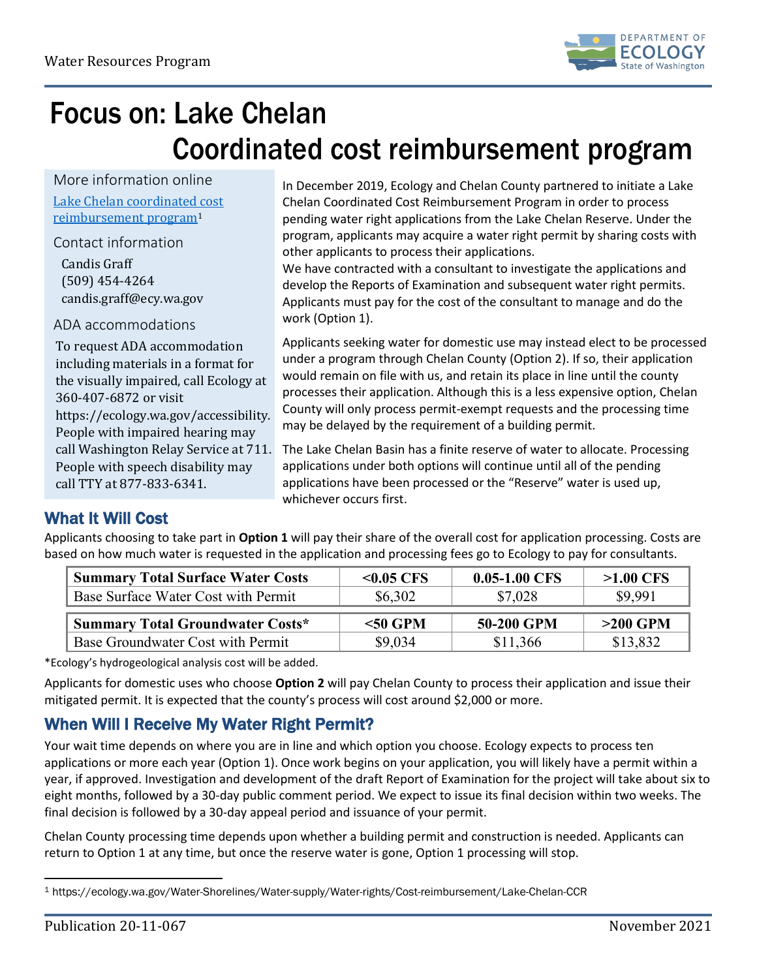

## Focus on: Lake Chelan Coordinated cost reimbursement program

More information online [Lake Chelan coordinated cost](https://ecology.wa.gov/Water-Shorelines/Water-supply/Water-rights/Cost-reimbursement/Lake-Chelan-CCR)  [reimbursement program](https://ecology.wa.gov/Water-Shorelines/Water-supply/Water-rights/Cost-reimbursement/Lake-Chelan-CCR)[1](#page-0-0)

Contact information

Candis Graff (509) 454-4264 candis.graff@ecy.wa.gov

ADA accommodations

To request ADA accommodation including materials in a format for the visually impaired, call Ecology at 360-407-6872 or visit [https://ecology.wa.gov/accessibility.](https://ecology.wa.gov/accessibility) People with impaired hearing may call Washington Relay Service at 711. People with speech disability may call TTY at 877-833-6341.

In December 2019, Ecology and Chelan County partnered to initiate a Lake Chelan Coordinated Cost Reimbursement Program in order to process pending water right applications from the Lake Chelan Reserve. Under the program, applicants may acquire a water right permit by sharing costs with other applicants to process their applications.

We have contracted with a consultant to investigate the applications and develop the Reports of Examination and subsequent water right permits. Applicants must pay for the cost of the consultant to manage and do the work (Option 1).

Applicants seeking water for domestic use may instead elect to be processed under a program through Chelan County (Option 2). If so, their application would remain on file with us, and retain its place in line until the county processes their application. Although this is a less expensive option, Chelan County will only process permit-exempt requests and the processing time may be delayed by the requirement of a building permit.

The Lake Chelan Basin has a finite reserve of water to allocate. Processing applications under both options will continue until all of the pending applications have been processed or the "Reserve" water is used up, whichever occurs first.

### What It Will Cost

Applicants choosing to take part in **Option 1** will pay their share of the overall cost for application processing. Costs are based on how much water is requested in the application and processing fees go to Ecology to pay for consultants.

| <b>Summary Total Surface Water Costs</b> | $< 0.05$ CFS | $0.05 - 1.00$ CFS | $>1.00$ CFS |
|------------------------------------------|--------------|-------------------|-------------|
| Base Surface Water Cost with Permit      | \$6,302      | \$7,028           | \$9,991     |
|                                          |              |                   |             |
| <b>Summary Total Groundwater Costs*</b>  | $<$ 50 GPM   | 50-200 GPM        | $>200$ GPM  |

\*Ecology's hydrogeological analysis cost will be added.

Applicants for domestic uses who choose **Option 2** will pay Chelan County to process their application and issue their mitigated permit. It is expected that the county's process will cost around \$2,000 or more.

## When Will I Receive My Water Right Permit?

Your wait time depends on where you are in line and which option you choose. Ecology expects to process ten applications or more each year (Option 1). Once work begins on your application, you will likely have a permit within a year, if approved. Investigation and development of the draft Report of Examination for the project will take about six to eight months, followed by a 30-day public comment period. We expect to issue its final decision within two weeks. The final decision is followed by a 30-day appeal period and issuance of your permit.

Chelan County processing time depends upon whether a building permit and construction is needed. Applicants can return to Option 1 at any time, but once the reserve water is gone, Option 1 processing will stop.

<span id="page-0-0"></span> $\overline{a}$ <sup>1</sup> https://ecology.wa.gov/Water-Shorelines/Water-supply/Water-rights/Cost-reimbursement/Lake-Chelan-CCR